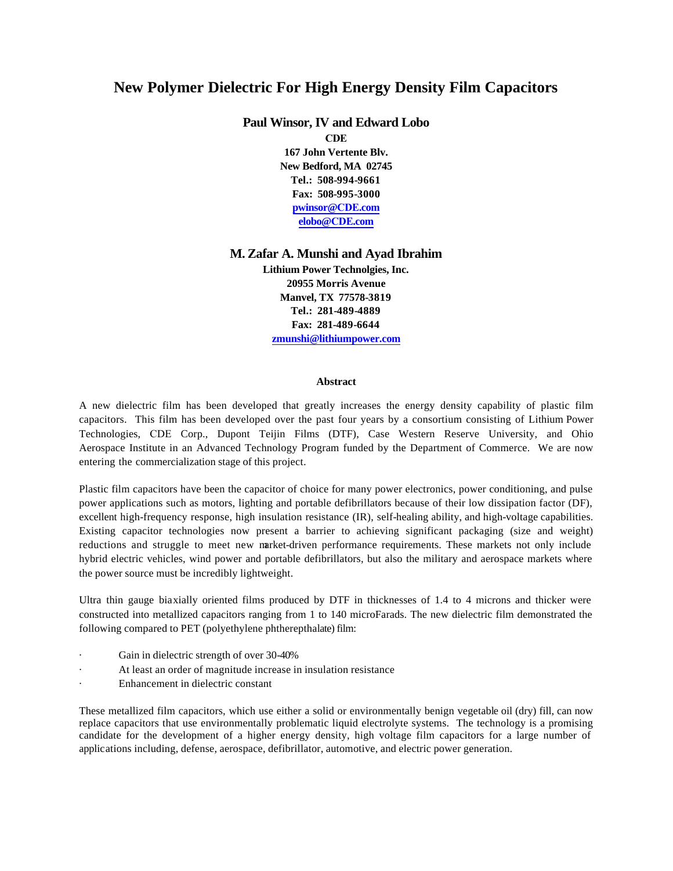# **New Polymer Dielectric For High Energy Density Film Capacitors**

**Paul Winsor, IV and Edward Lobo** 

**CDE 167 John Vertente Blv. New Bedford, MA 02745 Tel.: 508-994-9661 Fax: 508-995-3000 pwinsor@CDE.com elobo@CDE.com**

# **M. Zafar A. Munshi and Ayad Ibrahim**

**Lithium Power Technolgies, Inc. 20955 Morris Avenue Manvel, TX 77578-3819 Tel.: 281-489-4889 Fax: 281-489-6644 zmunshi@lithiumpower.com**

## **Abstract**

A new dielectric film has been developed that greatly increases the energy density capability of plastic film capacitors. This film has been developed over the past four years by a consortium consisting of Lithium Power Technologies, CDE Corp., Dupont Teijin Films (DTF), Case Western Reserve University, and Ohio Aerospace Institute in an Advanced Technology Program funded by the Department of Commerce. We are now entering the commercialization stage of this project.

Plastic film capacitors have been the capacitor of choice for many power electronics, power conditioning, and pulse power applications such as motors, lighting and portable defibrillators because of their low dissipation factor (DF), excellent high-frequency response, high insulation resistance (IR), self-healing ability, and high-voltage capabilities. Existing capacitor technologies now present a barrier to achieving significant packaging (size and weight) reductions and struggle to meet new market-driven performance requirements. These markets not only include hybrid electric vehicles, wind power and portable defibrillators, but also the military and aerospace markets where the power source must be incredibly lightweight.

Ultra thin gauge biaxially oriented films produced by DTF in thicknesses of 1.4 to 4 microns and thicker were constructed into metallized capacitors ranging from 1 to 140 microFarads. The new dielectric film demonstrated the following compared to PET (polyethylene phtherepthalate) film:

- Gain in dielectric strength of over 30-40%
- At least an order of magnitude increase in insulation resistance
- Enhancement in dielectric constant

These metallized film capacitors, which use either a solid or environmentally benign vegetable oil (dry) fill, can now replace capacitors that use environmentally problematic liquid electrolyte systems. The technology is a promising candidate for the development of a higher energy density, high voltage film capacitors for a large number of applications including, defense, aerospace, defibrillator, automotive, and electric power generation.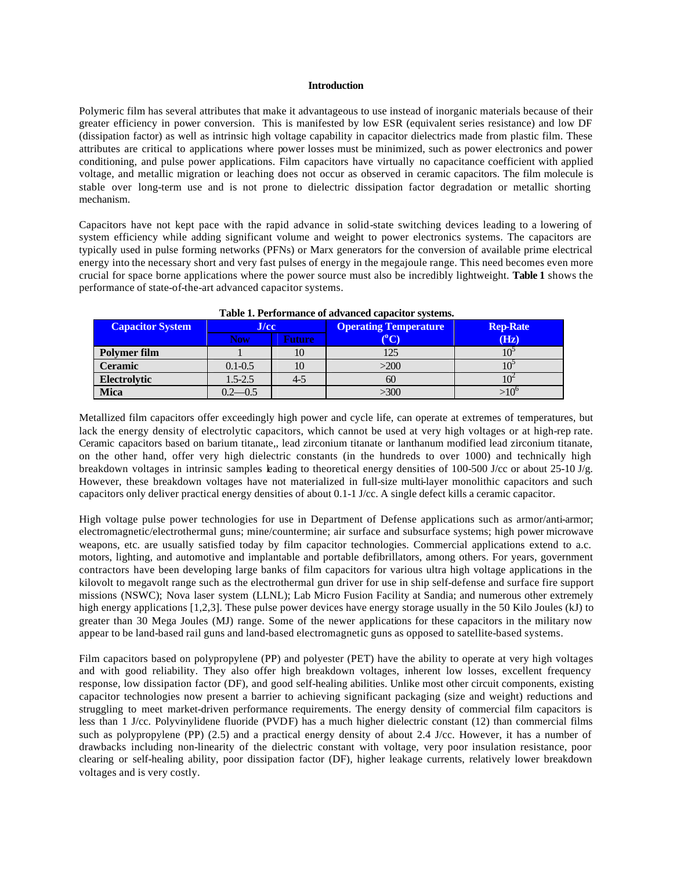#### **Introduction**

Polymeric film has several attributes that make it advantageous to use instead of inorganic materials because of their greater efficiency in power conversion. This is manifested by low ESR (equivalent series resistance) and low DF (dissipation factor) as well as intrinsic high voltage capability in capacitor dielectrics made from plastic film. These attributes are critical to applications where power losses must be minimized, such as power electronics and power conditioning, and pulse power applications. Film capacitors have virtually no capacitance coefficient with applied voltage, and metallic migration or leaching does not occur as observed in ceramic capacitors. The film molecule is stable over long-term use and is not prone to dielectric dissipation factor degradation or metallic shorting mechanism.

Capacitors have not kept pace with the rapid advance in solid-state switching devices leading to a lowering of system efficiency while adding significant volume and weight to power electronics systems. The capacitors are typically used in pulse forming networks (PFNs) or Marx generators for the conversion of available prime electrical energy into the necessary short and very fast pulses of energy in the megajoule range. This need becomes even more crucial for space borne applications where the power source must also be incredibly lightweight. **Table 1** shows the performance of state-of-the-art advanced capacitor systems.

| <b>Capacitor System</b> | J/cc/       |        | <b>Operating Temperature</b> | <b>Rep-Rate</b> |  |
|-------------------------|-------------|--------|------------------------------|-----------------|--|
|                         | <b>Now</b>  | Future |                              | (Hz)            |  |
| Polymer film            |             | 10     |                              | 10              |  |
| <b>Ceramic</b>          | $0.1 - 0.5$ | 10     | >200                         |                 |  |
| Electrolytic            | $1.5 - 2.5$ | $4-5$  | 60                           |                 |  |
| <b>Mica</b>             | $-2 - 0.5$  |        | >300                         | >10'            |  |

Metallized film capacitors offer exceedingly high power and cycle life, can operate at extremes of temperatures, but lack the energy density of electrolytic capacitors, which cannot be used at very high voltages or at high-rep rate. Ceramic capacitors based on barium titanate,, lead zirconium titanate or lanthanum modified lead zirconium titanate, on the other hand, offer very high dielectric constants (in the hundreds to over 1000) and technically high breakdown voltages in intrinsic samples leading to theoretical energy densities of 100-500 J/cc or about 25-10 J/g. However, these breakdown voltages have not materialized in full-size multi-layer monolithic capacitors and such capacitors only deliver practical energy densities of about 0.1-1 J/cc. A single defect kills a ceramic capacitor.

High voltage pulse power technologies for use in Department of Defense applications such as armor/anti-armor; electromagnetic/electrothermal guns; mine/countermine; air surface and subsurface systems; high power microwave weapons, etc. are usually satisfied today by film capacitor technologies. Commercial applications extend to a.c. motors, lighting, and automotive and implantable and portable defibrillators, among others. For years, government contractors have been developing large banks of film capacitors for various ultra high voltage applications in the kilovolt to megavolt range such as the electrothermal gun driver for use in ship self-defense and surface fire support missions (NSWC); Nova laser system (LLNL); Lab Micro Fusion Facility at Sandia; and numerous other extremely high energy applications [1,2,3]. These pulse power devices have energy storage usually in the 50 Kilo Joules (kJ) to greater than 30 Mega Joules (MJ) range. Some of the newer applications for these capacitors in the military now appear to be land-based rail guns and land-based electromagnetic guns as opposed to satellite-based systems.

Film capacitors based on polypropylene (PP) and polyester (PET) have the ability to operate at very high voltages and with good reliability. They also offer high breakdown voltages, inherent low losses, excellent frequency response, low dissipation factor (DF), and good self-healing abilities. Unlike most other circuit components, existing capacitor technologies now present a barrier to achieving significant packaging (size and weight) reductions and struggling to meet market-driven performance requirements. The energy density of commercial film capacitors is less than 1 J/cc. Polyvinylidene fluoride (PVDF) has a much higher dielectric constant (12) than commercial films such as polypropylene (PP) (2.5) and a practical energy density of about 2.4 J/cc. However, it has a number of drawbacks including non-linearity of the dielectric constant with voltage, very poor insulation resistance, poor clearing or self-healing ability, poor dissipation factor (DF), higher leakage currents, relatively lower breakdown voltages and is very costly.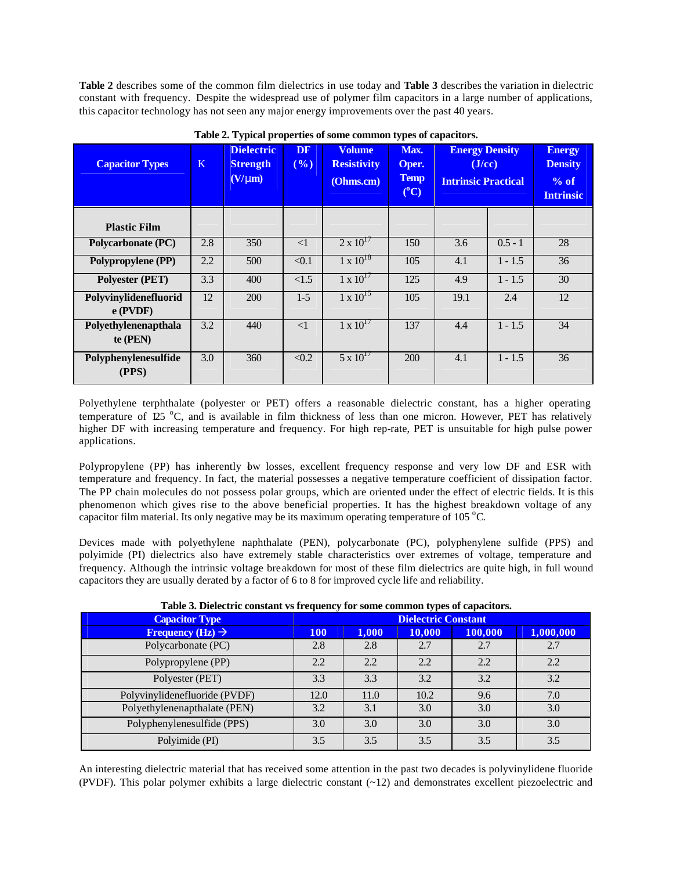**Table 2** describes some of the common film dielectrics in use today and **Table 3** describes the variation in dielectric constant with frequency. Despite the widespread use of polymer film capacitors in a large number of applications, this capacitor technology has not seen any major energy improvements over the past 40 years.

| <b>Capacitor Types</b>              | K   | <b>Dielectric</b><br><b>Strength</b><br>$(V/\text{mm})$ | <b>DF</b><br>(%) | <b>Volume</b><br><b>Resistivity</b><br>(Ohms.cm) | Max.<br>Oper.<br><b>Temp</b><br>$(^{\circ}C)$ | <b>Energy Density</b><br>$(J$ /cc $)$<br><b>Intrinsic Practical</b> |           | <b>Energy</b><br><b>Density</b><br>% of<br><b>Intrinsic</b> |
|-------------------------------------|-----|---------------------------------------------------------|------------------|--------------------------------------------------|-----------------------------------------------|---------------------------------------------------------------------|-----------|-------------------------------------------------------------|
| <b>Plastic Film</b>                 |     |                                                         |                  |                                                  |                                               |                                                                     |           |                                                             |
| <b>Polycarbonate (PC)</b>           | 2.8 | 350                                                     | $\leq$ 1         | $2 \times 10^{17}$                               | 150                                           | 3.6                                                                 | $0.5 - 1$ | 28                                                          |
| Polypropylene (PP)                  | 2.2 | 500                                                     | < 0.1            | $1 \times 10^{18}$                               | 105                                           | 4.1                                                                 | $1 - 1.5$ | 36                                                          |
| <b>Polyester (PET)</b>              | 3.3 | 400                                                     | <1.5             | $1 \times 10^{17}$                               | 125                                           | 4.9                                                                 | $1 - 1.5$ | 30                                                          |
| Polyvinylidenefluorid<br>$e$ (PVDF) | 12  | 200                                                     | $1-5$            | $1 \times 10^{15}$                               | 105                                           | 19.1                                                                | 2.4       | 12                                                          |
| Polyethylenenapthala<br>te $(PEN)$  | 3.2 | 440                                                     | $\leq$ 1         | $1 \times 10^{17}$                               | 137                                           | 4.4                                                                 | $1 - 1.5$ | 34                                                          |
| Polyphenylenesulfide<br>(PPS)       | 3.0 | 360                                                     | < 0.2            | $5 \times 10^{17}$                               | 200                                           | 4.1                                                                 | $1 - 1.5$ | 36                                                          |

**Table 2. Typical properties of some common types of capacitors.**

Polyethylene terphthalate (polyester or PET) offers a reasonable dielectric constant, has a higher operating temperature of 125 °C, and is available in film thickness of less than one micron. However, PET has relatively higher DF with increasing temperature and frequency. For high rep-rate, PET is unsuitable for high pulse power applications.

Polypropylene (PP) has inherently bw losses, excellent frequency response and very low DF and ESR with temperature and frequency. In fact, the material possesses a negative temperature coefficient of dissipation factor. The PP chain molecules do not possess polar groups, which are oriented under the effect of electric fields. It is this phenomenon which gives rise to the above beneficial properties. It has the highest breakdown voltage of any capacitor film material. Its only negative may be its maximum operating temperature of 105  $^{\circ}$ C.

Devices made with polyethylene naphthalate (PEN), polycarbonate (PC), polyphenylene sulfide (PPS) and polyimide (PI) dielectrics also have extremely stable characteristics over extremes of voltage, temperature and frequency. Although the intrinsic voltage breakdown for most of these film dielectrics are quite high, in full wound capacitors they are usually derated by a factor of 6 to 8 for improved cycle life and reliability.

|  | Table 3. Dielectric constant vs frequency for some common types of capacitors. |  |  |  |
|--|--------------------------------------------------------------------------------|--|--|--|
|  |                                                                                |  |  |  |

|                                     |                            |       | . .    |         |           |  |  |
|-------------------------------------|----------------------------|-------|--------|---------|-----------|--|--|
| <b>Capacitor Type</b>               | <b>Dielectric Constant</b> |       |        |         |           |  |  |
| <b>Frequency (Hz)</b> $\rightarrow$ | <b>100</b>                 | 1,000 | 10,000 | 100,000 | 1,000,000 |  |  |
| Polycarbonate (PC)                  | 2.8                        | 2.8   | 2.7    | 2.7     | 2.7       |  |  |
| Polypropylene (PP)                  | 2.2                        | 2.2   | 2.2    | 2.2     | 2.2       |  |  |
| Polyester (PET)                     | 3.3                        | 3.3   | 3.2    | 3.2     | 3.2       |  |  |
| Polyvinylidenefluoride (PVDF)       | 12.0                       | 11.0  | 10.2   | 9.6     | 7.0       |  |  |
| Polyethylenenapthalate (PEN)        | 3.2                        | 3.1   | 3.0    | 3.0     | 3.0       |  |  |
| Polyphenylenesulfide (PPS)          | 3.0                        | 3.0   | 3.0    | 3.0     | 3.0       |  |  |
| Polyimide (PI)                      | 3.5                        | 3.5   | 3.5    | 3.5     | 3.5       |  |  |

An interesting dielectric material that has received some attention in the past two decades is polyvinylidene fluoride (PVDF). This polar polymer exhibits a large dielectric constant (~12) and demonstrates excellent piezoelectric and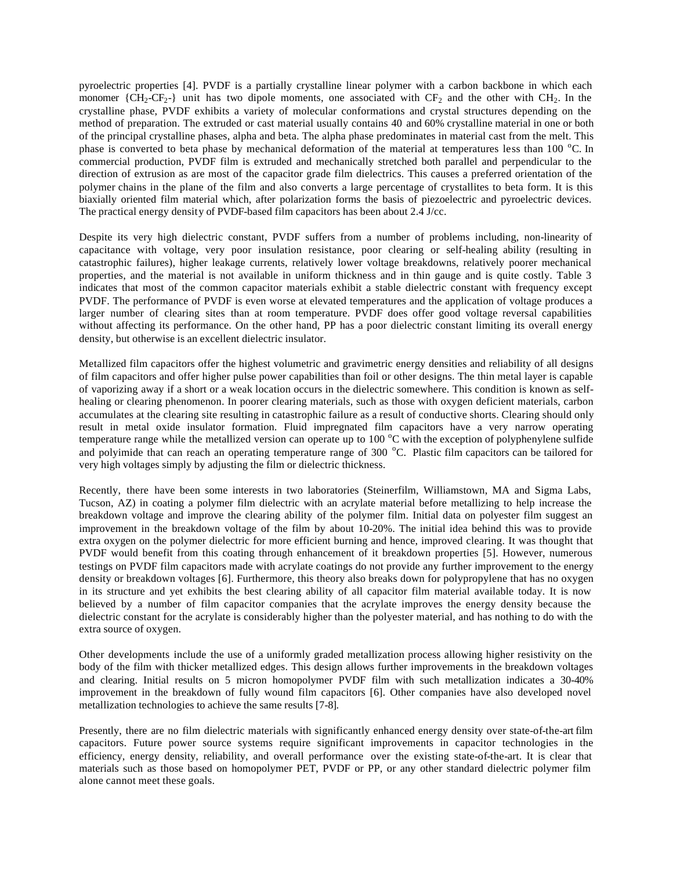pyroelectric properties [4]. PVDF is a partially crystalline linear polymer with a carbon backbone in which each monomer  ${CH_2-CF_2}$  unit has two dipole moments, one associated with  $CF_2$  and the other with CH<sub>2</sub>. In the crystalline phase, PVDF exhibits a variety of molecular conformations and crystal structures depending on the method of preparation. The extruded or cast material usually contains 40 and 60% crystalline material in one or both of the principal crystalline phases, alpha and beta. The alpha phase predominates in material cast from the melt. This phase is converted to beta phase by mechanical deformation of the material at temperatures less than 100  $^{\circ}$ C. In commercial production, PVDF film is extruded and mechanically stretched both parallel and perpendicular to the direction of extrusion as are most of the capacitor grade film dielectrics. This causes a preferred orientation of the polymer chains in the plane of the film and also converts a large percentage of crystallites to beta form. It is this biaxially oriented film material which, after polarization forms the basis of piezoelectric and pyroelectric devices. The practical energy density of PVDF-based film capacitors has been about 2.4 J/cc.

Despite its very high dielectric constant, PVDF suffers from a number of problems including, non-linearity of capacitance with voltage, very poor insulation resistance, poor clearing or self-healing ability (resulting in catastrophic failures), higher leakage currents, relatively lower voltage breakdowns, relatively poorer mechanical properties, and the material is not available in uniform thickness and in thin gauge and is quite costly. Table 3 indicates that most of the common capacitor materials exhibit a stable dielectric constant with frequency except PVDF. The performance of PVDF is even worse at elevated temperatures and the application of voltage produces a larger number of clearing sites than at room temperature. PVDF does offer good voltage reversal capabilities without affecting its performance. On the other hand, PP has a poor dielectric constant limiting its overall energy density, but otherwise is an excellent dielectric insulator.

Metallized film capacitors offer the highest volumetric and gravimetric energy densities and reliability of all designs of film capacitors and offer higher pulse power capabilities than foil or other designs. The thin metal layer is capable of vaporizing away if a short or a weak location occurs in the dielectric somewhere. This condition is known as selfhealing or clearing phenomenon. In poorer clearing materials, such as those with oxygen deficient materials, carbon accumulates at the clearing site resulting in catastrophic failure as a result of conductive shorts. Clearing should only result in metal oxide insulator formation. Fluid impregnated film capacitors have a very narrow operating temperature range while the metallized version can operate up to  $100\degree C$  with the exception of polyphenylene sulfide and polyimide that can reach an operating temperature range of 300 °C. Plastic film capacitors can be tailored for very high voltages simply by adjusting the film or dielectric thickness.

Recently, there have been some interests in two laboratories (Steinerfilm, Williamstown, MA and Sigma Labs, Tucson, AZ) in coating a polymer film dielectric with an acrylate material before metallizing to help increase the breakdown voltage and improve the clearing ability of the polymer film. Initial data on polyester film suggest an improvement in the breakdown voltage of the film by about 10-20%. The initial idea behind this was to provide extra oxygen on the polymer dielectric for more efficient burning and hence, improved clearing. It was thought that PVDF would benefit from this coating through enhancement of it breakdown properties [5]. However, numerous testings on PVDF film capacitors made with acrylate coatings do not provide any further improvement to the energy density or breakdown voltages [6]. Furthermore, this theory also breaks down for polypropylene that has no oxygen in its structure and yet exhibits the best clearing ability of all capacitor film material available today. It is now believed by a number of film capacitor companies that the acrylate improves the energy density because the dielectric constant for the acrylate is considerably higher than the polyester material, and has nothing to do with the extra source of oxygen.

Other developments include the use of a uniformly graded metallization process allowing higher resistivity on the body of the film with thicker metallized edges. This design allows further improvements in the breakdown voltages and clearing. Initial results on 5 micron homopolymer PVDF film with such metallization indicates a 30-40% improvement in the breakdown of fully wound film capacitors [6]. Other companies have also developed novel metallization technologies to achieve the same results [7-8].

Presently, there are no film dielectric materials with significantly enhanced energy density over state-of-the-art film capacitors. Future power source systems require significant improvements in capacitor technologies in the efficiency, energy density, reliability, and overall performance over the existing state-of-the-art. It is clear that materials such as those based on homopolymer PET, PVDF or PP, or any other standard dielectric polymer film alone cannot meet these goals.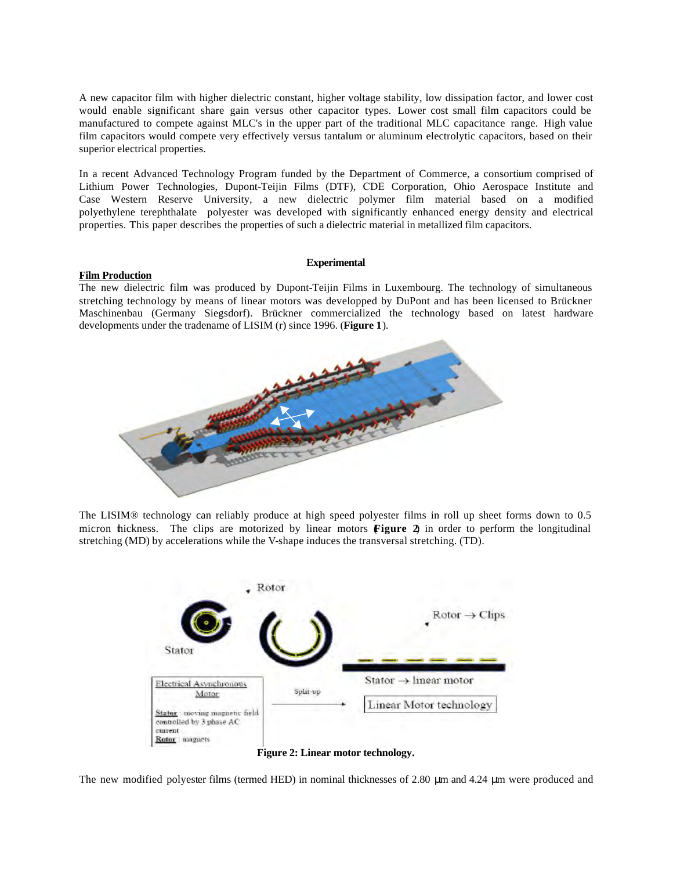A new capacitor film with higher dielectric constant, higher voltage stability, low dissipation factor, and lower cost would enable significant share gain versus other capacitor types. Lower cost small film capacitors could be manufactured to compete against MLC's in the upper part of the traditional MLC capacitance range. High value film capacitors would compete very effectively versus tantalum or aluminum electrolytic capacitors, based on their superior electrical properties.

In a recent Advanced Technology Program funded by the Department of Commerce, a consortium comprised of Lithium Power Technologies, Dupont-Teijin Films (DTF), CDE Corporation, Ohio Aerospace Institute and Case Western Reserve University, a new dielectric polymer film material based on a modified polyethylene terephthalate polyester was developed with significantly enhanced energy density and electrical properties. This paper describes the properties of such a dielectric material in metallized film capacitors.

#### **Film Production**

#### **Experimental**

The new dielectric film was produced by Dupont-Teijin Films in Luxembourg. The technology of simultaneous stretching technology by means of linear motors was developped by DuPont and has been licensed to Brückner Maschinenbau (Germany Siegsdorf). Brückner commercialized the technology based on latest hardware developments under the tradename of LISIM (r) since 1996. (**Figure 1**).



The LISIM® technology can reliably produce at high speed polyester films in roll up sheet forms down to 0.5 micron thickness. The clips are motorized by linear motors **Figure 2** in order to perform the longitudinal stretching (MD) by accelerations while the V-shape induces the transversal stretching. (TD).



**Figure 2: Linear motor technology.**

The new modified polyester films (termed HED) in nominal thicknesses of 2.80 μm and 4.24 μm were produced and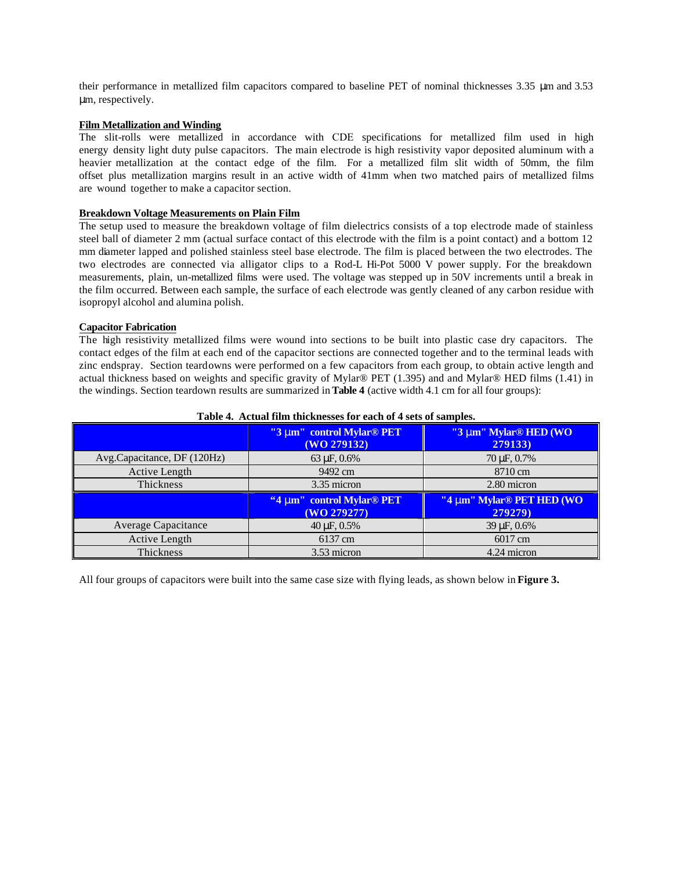their performance in metallized film capacitors compared to baseline PET of nominal thicknesses 3.35 μm and 3.53 μm, respectively.

## **Film Metallization and Winding**

The slit-rolls were metallized in accordance with CDE specifications for metallized film used in high energy density light duty pulse capacitors. The main electrode is high resistivity vapor deposited aluminum with a heavier metallization at the contact edge of the film. For a metallized film slit width of 50mm, the film offset plus metallization margins result in an active width of 41mm when two matched pairs of metallized films are wound together to make a capacitor section.

### **Breakdown Voltage Measurements on Plain Film**

The setup used to measure the breakdown voltage of film dielectrics consists of a top electrode made of stainless steel ball of diameter 2 mm (actual surface contact of this electrode with the film is a point contact) and a bottom 12 mm diameter lapped and polished stainless steel base electrode. The film is placed between the two electrodes. The two electrodes are connected via alligator clips to a Rod-L Hi-Pot 5000 V power supply. For the breakdown measurements, plain, un-metallized films were used. The voltage was stepped up in 50V increments until a break in the film occurred. Between each sample, the surface of each electrode was gently cleaned of any carbon residue with isopropyl alcohol and alumina polish.

### **Capacitor Fabrication**

The high resistivity metallized films were wound into sections to be built into plastic case dry capacitors. The contact edges of the film at each end of the capacitor sections are connected together and to the terminal leads with zinc endspray. Section teardowns were performed on a few capacitors from each group, to obtain active length and actual thickness based on weights and specific gravity of Mylar® PET (1.395) and and Mylar® HED films (1.41) in the windings. Section teardown results are summarized in **Table 4** (active width 4.1 cm for all four groups):

|                             | "3 mm" control Mylar <sup>®</sup> PET<br>(WO 279132) | "3 mm" Mylar <sup>®</sup> HED (WO<br>279133)     |  |  |
|-----------------------------|------------------------------------------------------|--------------------------------------------------|--|--|
| Avg.Capacitance, DF (120Hz) | 63 µF, 0.6%                                          | 70 µF, 0.7%                                      |  |  |
| Active Length               | 9492 cm                                              | 8710 cm                                          |  |  |
| Thickness                   | 3.35 micron                                          | 2.80 micron                                      |  |  |
|                             | "4 nm" control Mylar® PET<br>(WO 279277)             | "4 nm" Mylar <sup>®</sup> PET HED (WO<br>279279) |  |  |
| <b>Average Capacitance</b>  | $40 \mu F, 0.5\%$                                    | $39 \,\mu F, 0.6\%$                              |  |  |
| Active Length               | 6137 cm                                              | 6017 cm                                          |  |  |
| Thickness                   | 3.53 micron                                          | 4.24 micron                                      |  |  |

#### **Table 4. Actual film thicknesses for each of 4 sets of samples.**

All four groups of capacitors were built into the same case size with flying leads, as shown below in **Figure 3.**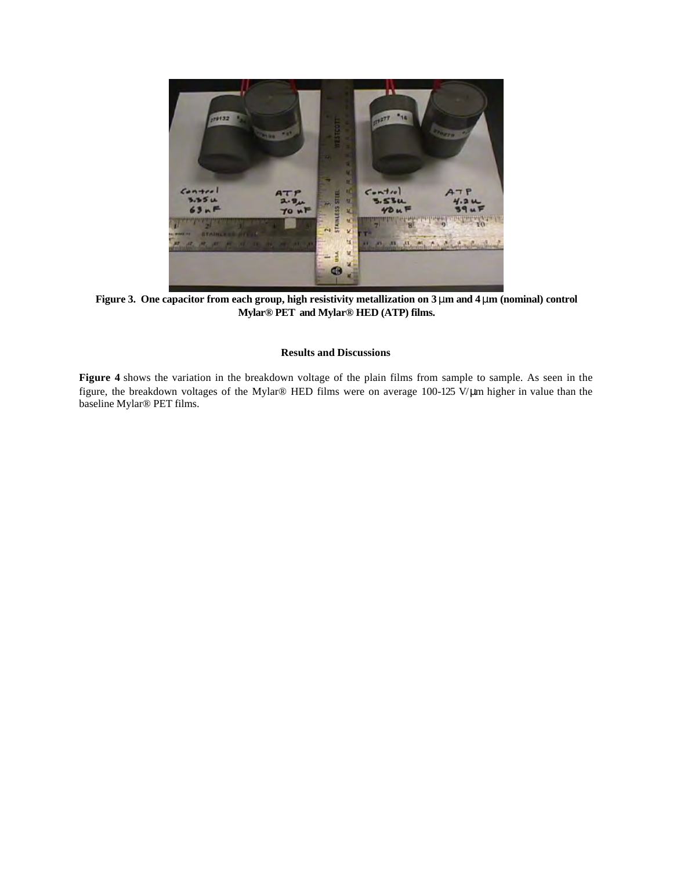

**Figure 3. One capacitor from each group, high resistivity metallization on 3 mm and 4 mm (nominal) control Mylar® PET and Mylar® HED (ATP) films.**

# **Results and Discussions**

**Figure 4** shows the variation in the breakdown voltage of the plain films from sample to sample. As seen in the figure, the breakdown voltages of the Mylar® HED films were on average 100-125 V/μm higher in value than the baseline Mylar® PET films.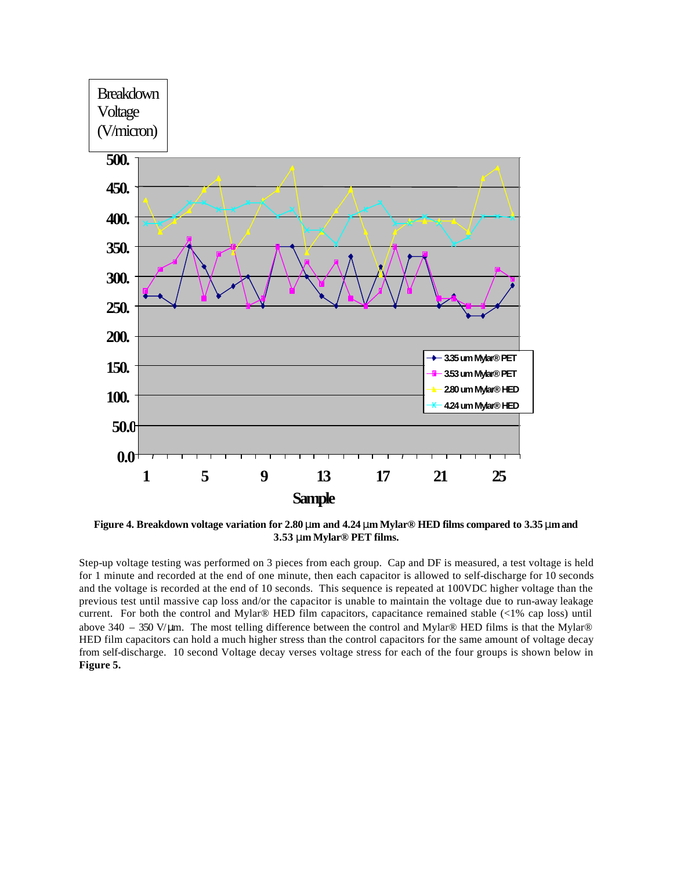

**3.53 mm Mylar® PET films.**

Step-up voltage testing was performed on 3 pieces from each group. Cap and DF is measured, a test voltage is held for 1 minute and recorded at the end of one minute, then each capacitor is allowed to self-discharge for 10 seconds and the voltage is recorded at the end of 10 seconds. This sequence is repeated at 100VDC higher voltage than the previous test until massive cap loss and/or the capacitor is unable to maintain the voltage due to run-away leakage current. For both the control and Mylar® HED film capacitors, capacitance remained stable (<1% cap loss) until above 340 – 350 V/μm. The most telling difference between the control and Mylar® HED films is that the Mylar® HED film capacitors can hold a much higher stress than the control capacitors for the same amount of voltage decay from self-discharge. 10 second Voltage decay verses voltage stress for each of the four groups is shown below in **Figure 5.**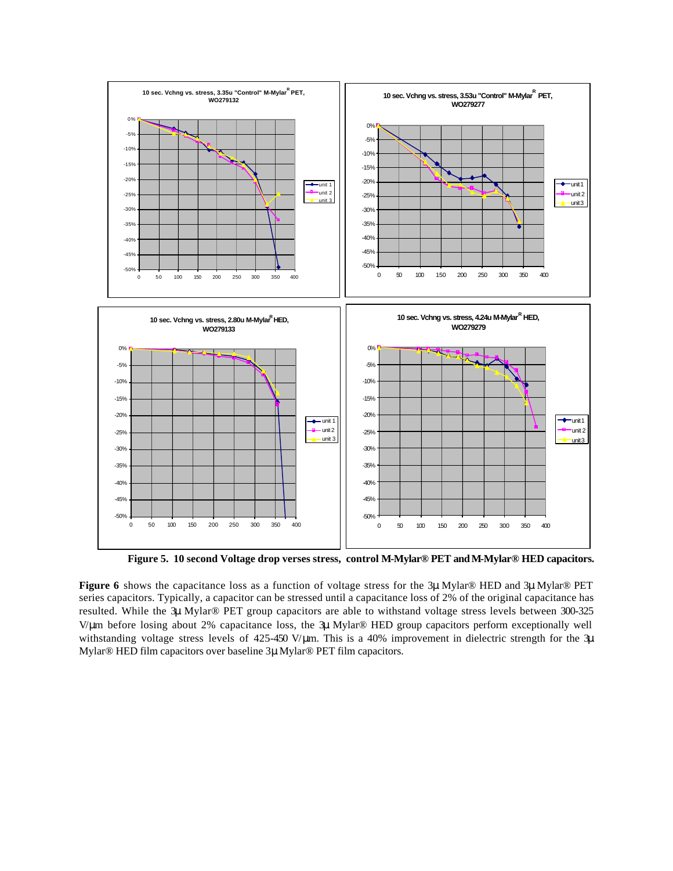

**Figure 5. 10 second Voltage drop verses stress, control M-Mylar® PET and M-Mylar® HED capacitors.**

**Figure 6** shows the capacitance loss as a function of voltage stress for the 3μ Mylar® HED and 3μ Mylar® PET series capacitors. Typically, a capacitor can be stressed until a capacitance loss of 2% of the original capacitance has resulted. While the 3μ Mylar® PET group capacitors are able to withstand voltage stress levels between 300-325 V/μm before losing about 2% capacitance loss, the 3μ Mylar® HED group capacitors perform exceptionally well withstanding voltage stress levels of 425-450 V/μm. This is a 40% improvement in dielectric strength for the 3μ Mylar® HED film capacitors over baseline 3μ Mylar® PET film capacitors.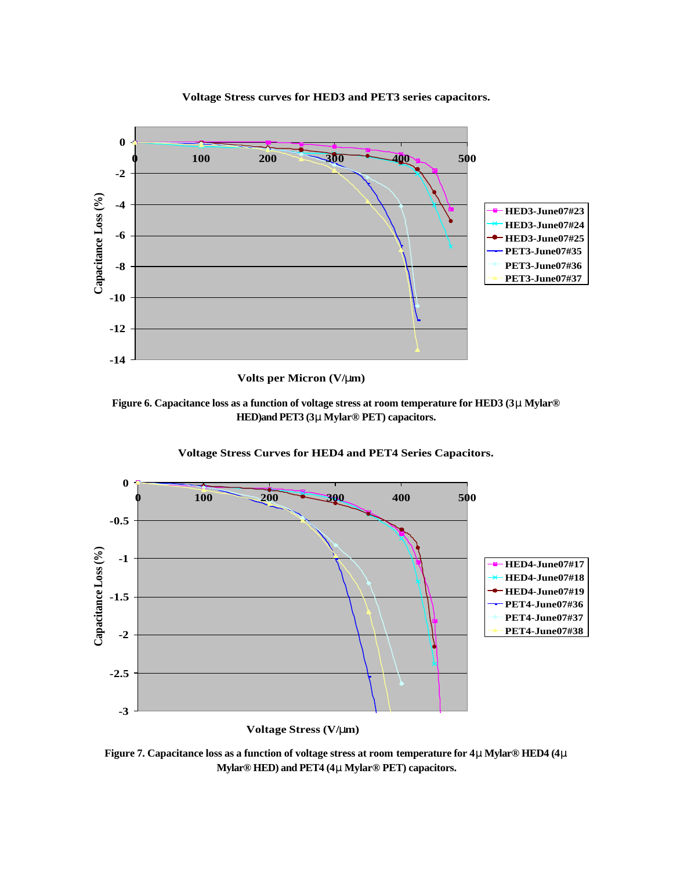

**Voltage Stress curves for HED3 and PET3 series capacitors.**

**Volts per Micron (V/mm)**

**Figure 6. Capacitance loss as a function of voltage stress at room temperature for HED3 (3m Mylar® HED)and PET3 (3m Mylar® PET) capacitors.**



**Voltage Stress Curves for HED4 and PET4 Series Capacitors.**

**Figure 7. Capacitance loss as a function of voltage stress at room temperature for 4m Mylar® HED4 (4m Mylar® HED) and PET4 (4m Mylar® PET) capacitors.**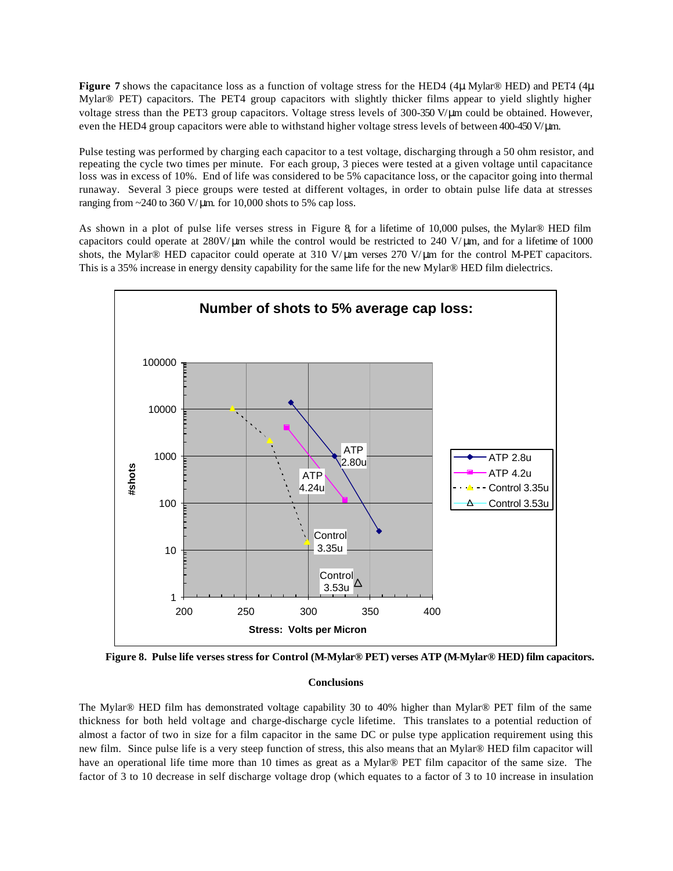**Figure 7** shows the capacitance loss as a function of voltage stress for the HED4 (4μ Mylar® HED) and PET4 (4μ Mylar® PET) capacitors. The PET4 group capacitors with slightly thicker films appear to yield slightly higher voltage stress than the PET3 group capacitors. Voltage stress levels of 300-350 V/μm could be obtained. However, even the HED4 group capacitors were able to withstand higher voltage stress levels of between 400-450 V/μm.

Pulse testing was performed by charging each capacitor to a test voltage, discharging through a 50 ohm resistor, and repeating the cycle two times per minute. For each group, 3 pieces were tested at a given voltage until capacitance loss was in excess of 10%. End of life was considered to be 5% capacitance loss, or the capacitor going into thermal runaway. Several 3 piece groups were tested at different voltages, in order to obtain pulse life data at stresses ranging from  $\approx$  240 to 360 V/µm. for 10,000 shots to 5% cap loss.

As shown in a plot of pulse life verses stress in Figure 8, for a lifetime of 10,000 pulses, the Mylar® HED film capacitors could operate at  $280V/\mu m$  while the control would be restricted to  $240 V/\mu m$ , and for a lifetime of 1000 shots, the Mylar® HED capacitor could operate at 310 V/ μm verses 270 V/μm for the control M-PET capacitors. This is a 35% increase in energy density capability for the same life for the new Mylar® HED film dielectrics.



**Figure 8. Pulse life verses stress for Control (M-Mylar® PET) verses ATP (M-Mylar® HED) film capacitors.**

### **Conclusions**

The Mylar® HED film has demonstrated voltage capability 30 to 40% higher than Mylar® PET film of the same thickness for both held voltage and charge-discharge cycle lifetime. This translates to a potential reduction of almost a factor of two in size for a film capacitor in the same DC or pulse type application requirement using this new film. Since pulse life is a very steep function of stress, this also means that an Mylar® HED film capacitor will have an operational life time more than 10 times as great as a Mylar® PET film capacitor of the same size. The factor of 3 to 10 decrease in self discharge voltage drop (which equates to a factor of 3 to 10 increase in insulation